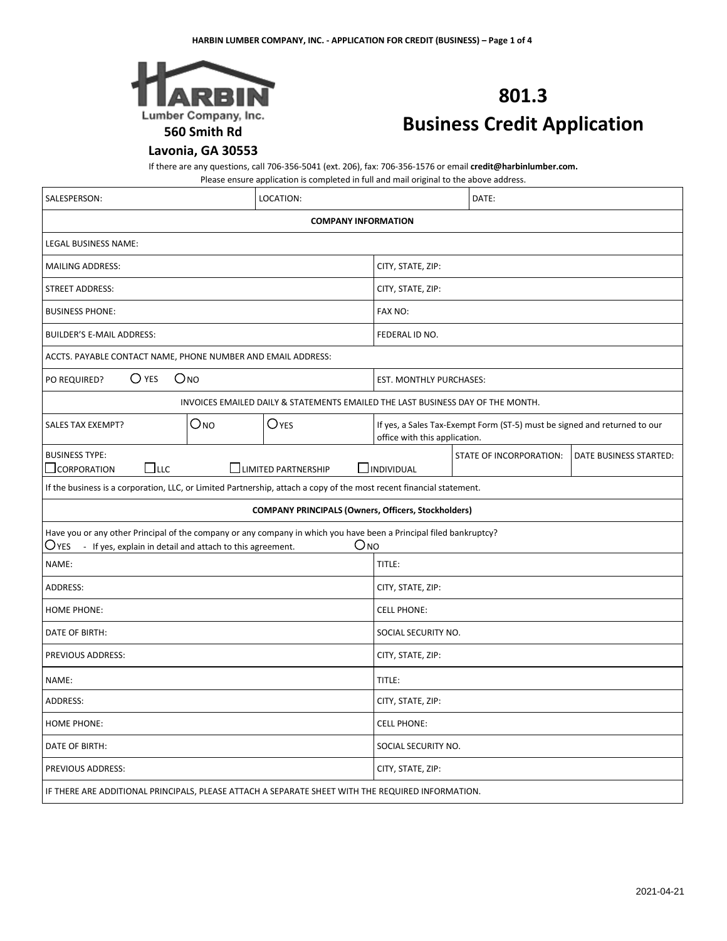

# **801.3 Business Credit Application**

# **Lavonia, GA 30553**

If there are any questions, call 706-356-5041 (ext. 206), fax: 706-356-1576 or email **credit@harbinlumber.com.**

Please ensure application is completed in full and mail original to the above address.

| SALESPERSON:                                                                                                                                                                                                 | LOCATION:                                                                       |                                                                                                            | DATE:                   |                        |  |
|--------------------------------------------------------------------------------------------------------------------------------------------------------------------------------------------------------------|---------------------------------------------------------------------------------|------------------------------------------------------------------------------------------------------------|-------------------------|------------------------|--|
| <b>COMPANY INFORMATION</b>                                                                                                                                                                                   |                                                                                 |                                                                                                            |                         |                        |  |
| <b>LEGAL BUSINESS NAME:</b>                                                                                                                                                                                  |                                                                                 |                                                                                                            |                         |                        |  |
| <b>MAILING ADDRESS:</b>                                                                                                                                                                                      |                                                                                 | CITY, STATE, ZIP:                                                                                          |                         |                        |  |
| <b>STREET ADDRESS:</b>                                                                                                                                                                                       |                                                                                 | CITY, STATE, ZIP:                                                                                          |                         |                        |  |
| <b>BUSINESS PHONE:</b>                                                                                                                                                                                       |                                                                                 | FAX NO:                                                                                                    |                         |                        |  |
| <b>BUILDER'S E-MAIL ADDRESS:</b>                                                                                                                                                                             |                                                                                 | FEDERAL ID NO.                                                                                             |                         |                        |  |
| ACCTS. PAYABLE CONTACT NAME, PHONE NUMBER AND EMAIL ADDRESS:                                                                                                                                                 |                                                                                 |                                                                                                            |                         |                        |  |
| $\bigcirc$ yes<br>O <sub>NO</sub><br>PO REQUIRED?                                                                                                                                                            |                                                                                 | EST. MONTHLY PURCHASES:                                                                                    |                         |                        |  |
|                                                                                                                                                                                                              | INVOICES EMAILED DAILY & STATEMENTS EMAILED THE LAST BUSINESS DAY OF THE MONTH. |                                                                                                            |                         |                        |  |
| O <sub>NO</sub><br><b>SALES TAX EXEMPT?</b>                                                                                                                                                                  | O <sub>YES</sub>                                                                | If yes, a Sales Tax-Exempt Form (ST-5) must be signed and returned to our<br>office with this application. |                         |                        |  |
| <b>BUSINESS TYPE:</b><br>$\Box$ LLC<br>$\perp$ CORPORATION                                                                                                                                                   | $\Box$ LIMITED PARTNERSHIP                                                      | $\Box$ INDIVIDUAL                                                                                          | STATE OF INCORPORATION: | DATE BUSINESS STARTED: |  |
| If the business is a corporation, LLC, or Limited Partnership, attach a copy of the most recent financial statement.                                                                                         |                                                                                 |                                                                                                            |                         |                        |  |
| <b>COMPANY PRINCIPALS (Owners, Officers, Stockholders)</b>                                                                                                                                                   |                                                                                 |                                                                                                            |                         |                        |  |
| Have you or any other Principal of the company or any company in which you have been a Principal filed bankruptcy?<br>$O$ <sub>NO</sub><br>Oyes<br>- If yes, explain in detail and attach to this agreement. |                                                                                 |                                                                                                            |                         |                        |  |
| NAME:                                                                                                                                                                                                        |                                                                                 | TITLE:                                                                                                     |                         |                        |  |
| <b>ADDRESS:</b>                                                                                                                                                                                              |                                                                                 | CITY, STATE, ZIP:                                                                                          |                         |                        |  |
| <b>HOME PHONE:</b>                                                                                                                                                                                           |                                                                                 | <b>CELL PHONE:</b>                                                                                         |                         |                        |  |
| DATE OF BIRTH:                                                                                                                                                                                               |                                                                                 | SOCIAL SECURITY NO.                                                                                        |                         |                        |  |
| PREVIOUS ADDRESS:                                                                                                                                                                                            |                                                                                 | CITY, STATE, ZIP:                                                                                          |                         |                        |  |
| NAME:                                                                                                                                                                                                        |                                                                                 | TITLE:                                                                                                     |                         |                        |  |
| ADDRESS:                                                                                                                                                                                                     |                                                                                 | CITY, STATE, ZIP:                                                                                          |                         |                        |  |
| <b>HOME PHONE:</b>                                                                                                                                                                                           |                                                                                 | <b>CELL PHONE:</b>                                                                                         |                         |                        |  |
| DATE OF BIRTH:                                                                                                                                                                                               |                                                                                 | SOCIAL SECURITY NO.                                                                                        |                         |                        |  |
| PREVIOUS ADDRESS:                                                                                                                                                                                            |                                                                                 | CITY, STATE, ZIP:                                                                                          |                         |                        |  |
| IF THERE ARE ADDITIONAL PRINCIPALS, PLEASE ATTACH A SEPARATE SHEET WITH THE REQUIRED INFORMATION.                                                                                                            |                                                                                 |                                                                                                            |                         |                        |  |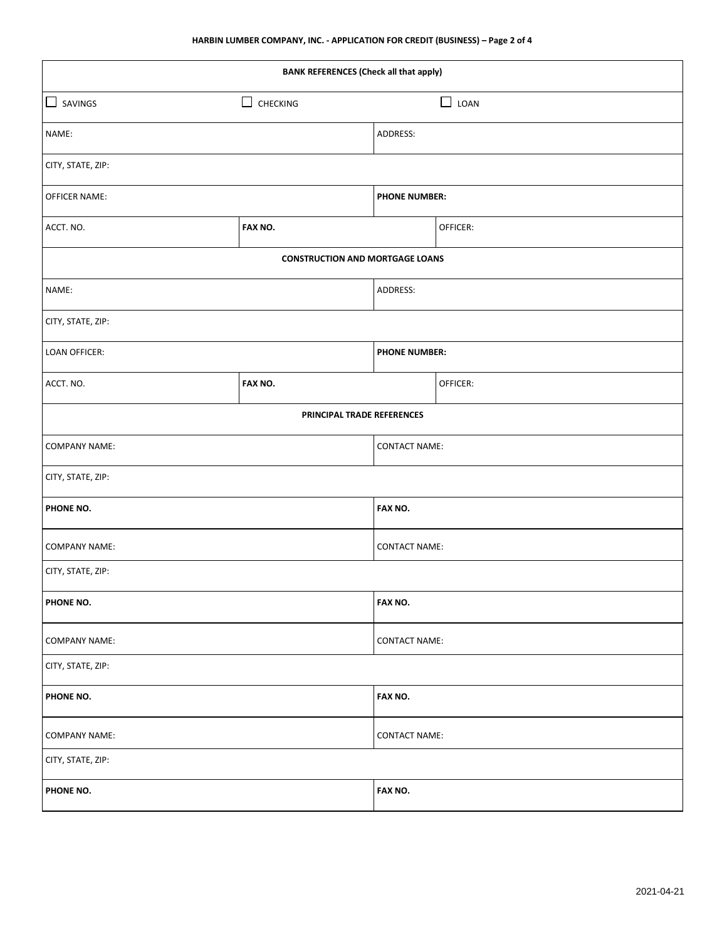| <b>BANK REFERENCES (Check all that apply)</b> |                                        |                      |                |  |
|-----------------------------------------------|----------------------------------------|----------------------|----------------|--|
| $\Box$<br>SAVINGS                             | □<br>CHECKING                          |                      | $\Box$<br>LOAN |  |
| NAME:                                         |                                        | ADDRESS:             |                |  |
| CITY, STATE, ZIP:                             |                                        |                      |                |  |
| <b>OFFICER NAME:</b>                          |                                        | <b>PHONE NUMBER:</b> |                |  |
| ACCT. NO.                                     | FAX NO.                                |                      | OFFICER:       |  |
|                                               | <b>CONSTRUCTION AND MORTGAGE LOANS</b> |                      |                |  |
| NAME:                                         |                                        | ADDRESS:             |                |  |
| CITY, STATE, ZIP:                             |                                        |                      |                |  |
| LOAN OFFICER:                                 |                                        | <b>PHONE NUMBER:</b> |                |  |
| ACCT. NO.                                     | FAX NO.                                |                      | OFFICER:       |  |
|                                               | PRINCIPAL TRADE REFERENCES             |                      |                |  |
| <b>COMPANY NAME:</b>                          |                                        | <b>CONTACT NAME:</b> |                |  |
| CITY, STATE, ZIP:                             |                                        |                      |                |  |
| PHONE NO.                                     |                                        | FAX NO.              |                |  |
| <b>COMPANY NAME:</b>                          |                                        | <b>CONTACT NAME:</b> |                |  |
| CITY, STATE, ZIP:                             |                                        |                      |                |  |
| PHONE NO.                                     |                                        | FAX NO.              |                |  |
| <b>COMPANY NAME:</b>                          |                                        | <b>CONTACT NAME:</b> |                |  |
| CITY, STATE, ZIP:                             |                                        |                      |                |  |
| PHONE NO.                                     |                                        | FAX NO.              |                |  |
| <b>COMPANY NAME:</b>                          |                                        | <b>CONTACT NAME:</b> |                |  |
| CITY, STATE, ZIP:                             |                                        |                      |                |  |
| PHONE NO.                                     |                                        | FAX NO.              |                |  |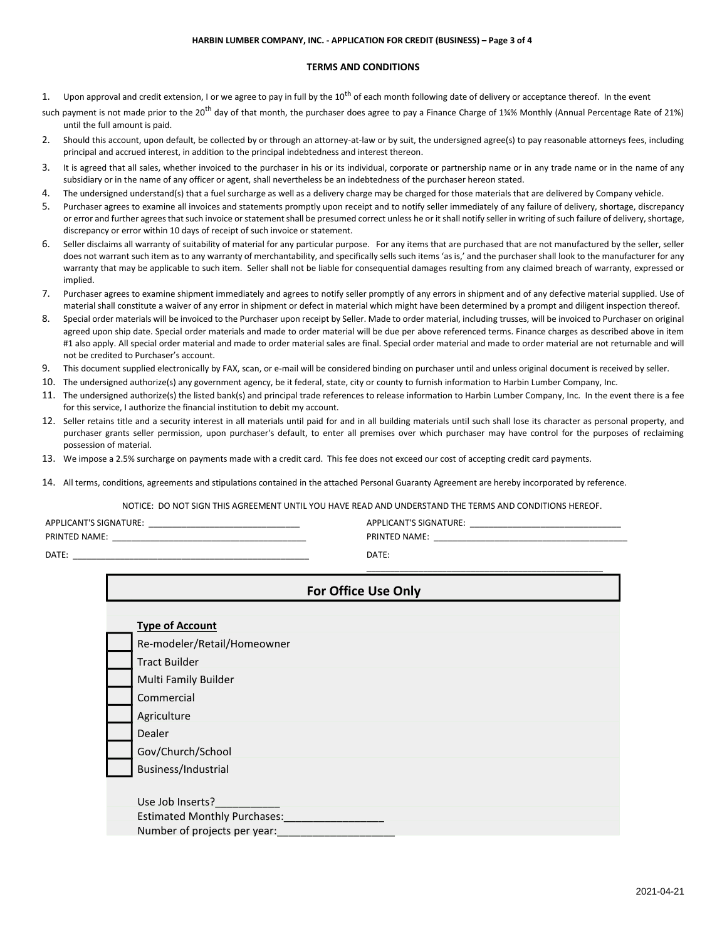#### **HARBIN LUMBER COMPANY, INC. - APPLICATION FOR CREDIT (BUSINESS) – Page 3 of 4**

# **TERMS AND CONDITIONS**

- 1. Upon approval and credit extension, I or we agree to pay in full by the  $10^{th}$  of each month following date of delivery or acceptance thereof. In the event
- such payment is not made prior to the 20<sup>th</sup> day of that month, the purchaser does agree to pay a Finance Charge of 1¾% Monthly (Annual Percentage Rate of 21%) until the full amount is paid.
- 2. Should this account, upon default, be collected by or through an attorney-at-law or by suit, the undersigned agree(s) to pay reasonable attorneys fees, including principal and accrued interest, in addition to the principal indebtedness and interest thereon.
- 3. It is agreed that all sales, whether invoiced to the purchaser in his or its individual, corporate or partnership name or in any trade name or in the name of any subsidiary or in the name of any officer or agent, shall nevertheless be an indebtedness of the purchaser hereon stated.
- 4. The undersigned understand(s) that a fuel surcharge as well as a delivery charge may be charged for those materials that are delivered by Company vehicle.
- 5. Purchaser agrees to examine all invoices and statements promptly upon receipt and to notify seller immediately of any failure of delivery, shortage, discrepancy or error and further agrees that such invoice or statement shall be presumed correct unless he or it shall notify seller in writing of such failure of delivery, shortage, discrepancy or error within 10 days of receipt of such invoice or statement.
- 6. Seller disclaims all warranty of suitability of material for any particular purpose. For any items that are purchased that are not manufactured by the seller, seller does not warrant such item as to any warranty of merchantability, and specifically sells such items 'as is,' and the purchaser shall look to the manufacturer for any warranty that may be applicable to such item. Seller shall not be liable for consequential damages resulting from any claimed breach of warranty, expressed or implied.
- 7. Purchaser agrees to examine shipment immediately and agrees to notify seller promptly of any errors in shipment and of any defective material supplied. Use of material shall constitute a waiver of any error in shipment or defect in material which might have been determined by a prompt and diligent inspection thereof.
- 8. Special order materials will be invoiced to the Purchaser upon receipt by Seller. Made to order material, including trusses, will be invoiced to Purchaser on original agreed upon ship date. Special order materials and made to order material will be due per above referenced terms. Finance charges as described above in item #1 also apply. All special order material and made to order material sales are final. Special order material and made to order material are not returnable and will not be credited to Purchaser's account.
- 9. This document supplied electronically by FAX, scan, or e-mail will be considered binding on purchaser until and unless original document is received by seller.
- 10. The undersigned authorize(s) any government agency, be it federal, state, city or county to furnish information to Harbin Lumber Company, Inc.
- 11. The undersigned authorize(s) the listed bank(s) and principal trade references to release information to Harbin Lumber Company, Inc. In the event there is a fee for this service, I authorize the financial institution to debit my account.
- 12. Seller retains title and a security interest in all materials until paid for and in all building materials until such shall lose its character as personal property, and purchaser grants seller permission, upon purchaser's default, to enter all premises over which purchaser may have control for the purposes of reclaiming possession of material.
- 13. We impose a 2.5% surcharge on payments made with a credit card. This fee does not exceed our cost of accepting credit card payments.
- 14. All terms, conditions, agreements and stipulations contained in the attached Personal Guaranty Agreement are hereby incorporated by reference.

NOTICE: DO NOT SIGN THIS AGREEMENT UNTIL YOU HAVE READ AND UNDERSTAND THE TERMS AND CONDITIONS HEREOF.

| <b>APPLICANT'S SIGNATURE:</b> | APPLICANT'S SIGNATURE: |
|-------------------------------|------------------------|
| <b>PRINTED NAME:</b>          | <b>PRINTED NAME:</b>   |
| <b>DATE</b>                   | <b>DATE</b>            |

| <b>For Office Use Only</b> |                              |  |  |
|----------------------------|------------------------------|--|--|
|                            |                              |  |  |
|                            | <b>Type of Account</b>       |  |  |
|                            | Re-modeler/Retail/Homeowner  |  |  |
|                            | <b>Tract Builder</b>         |  |  |
|                            | Multi Family Builder         |  |  |
|                            | Commercial                   |  |  |
|                            | Agriculture                  |  |  |
|                            | Dealer                       |  |  |
|                            | Gov/Church/School            |  |  |
|                            | Business/Industrial          |  |  |
|                            |                              |  |  |
|                            | Use Job Inserts?             |  |  |
|                            | Estimated Monthly Purchases: |  |  |
|                            | Number of projects per year: |  |  |